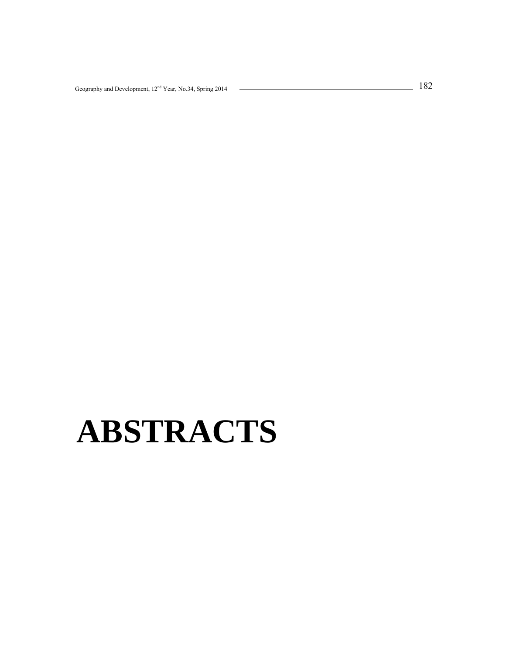# **ABSTRACTS**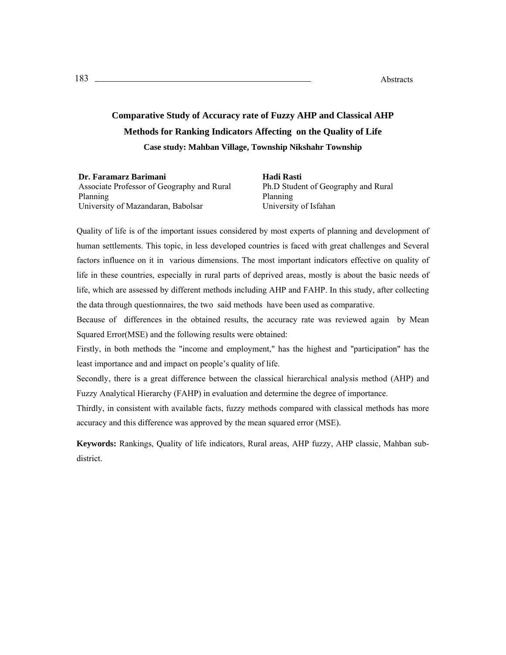# **Comparative Study of Accuracy rate of Fuzzy AHP and Classical AHP Methods for Ranking Indicators Affecting on the Quality of Life Case study: Mahban Village, Township Nikshahr Township**

**Dr. Faramarz Barimani** Associate Professor of Geography and Rural Planning University of Mazandaran, Babolsar

**Hadi Rasti**  Ph.D Student of Geography and Rural Planning University of Isfahan

Quality of life is of the important issues considered by most experts of planning and development of human settlements. This topic, in less developed countries is faced with great challenges and Several factors influence on it in various dimensions. The most important indicators effective on quality of life in these countries, especially in rural parts of deprived areas, mostly is about the basic needs of life, which are assessed by different methods including AHP and FAHP. In this study, after collecting the data through questionnaires, the two said methods have been used as comparative.

Because of differences in the obtained results, the accuracy rate was reviewed again by Mean Squared Error(MSE) and the following results were obtained:

Firstly, in both methods the "income and employment," has the highest and "participation" has the least importance and and impact on people's quality of life.

Secondly, there is a great difference between the classical hierarchical analysis method (AHP) and Fuzzy Analytical Hierarchy (FAHP) in evaluation and determine the degree of importance.

Thirdly, in consistent with available facts, fuzzy methods compared with classical methods has more accuracy and this difference was approved by the mean squared error (MSE).

**Keywords:** Rankings, Quality of life indicators, Rural areas, AHP fuzzy, AHP classic, Mahban subdistrict.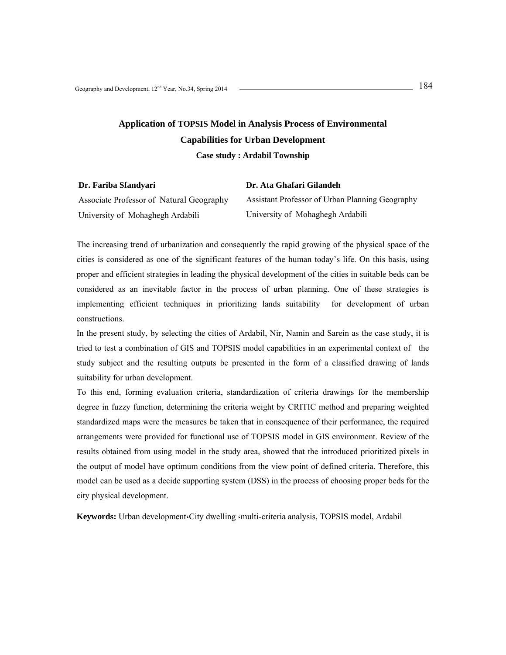# **Application of TOPSIS Model in Analysis Process of Environmental Capabilities for Urban Development**

**Case study : Ardabil Township**

| Dr. Fariba Sfandvari                     | Dr. Ata Ghafari Gilandeh                        |
|------------------------------------------|-------------------------------------------------|
| Associate Professor of Natural Geography | Assistant Professor of Urban Planning Geography |
| University of Mohaghegh Ardabili         | University of Mohaghegh Ardabili                |

The increasing trend of urbanization and consequently the rapid growing of the physical space of the cities is considered as one of the significant features of the human today's life. On this basis, using proper and efficient strategies in leading the physical development of the cities in suitable beds can be considered as an inevitable factor in the process of urban planning. One of these strategies is implementing efficient techniques in prioritizing lands suitability for development of urban constructions.

In the present study, by selecting the cities of Ardabil, Nir, Namin and Sarein as the case study, it is tried to test a combination of GIS and TOPSIS model capabilities in an experimental context of the study subject and the resulting outputs be presented in the form of a classified drawing of lands suitability for urban development.

To this end, forming evaluation criteria, standardization of criteria drawings for the membership degree in fuzzy function, determining the criteria weight by CRITIC method and preparing weighted standardized maps were the measures be taken that in consequence of their performance, the required arrangements were provided for functional use of TOPSIS model in GIS environment. Review of the results obtained from using model in the study area, showed that the introduced prioritized pixels in the output of model have optimum conditions from the view point of defined criteria. Therefore, this model can be used as a decide supporting system (DSS) in the process of choosing proper beds for the city physical development.

**Keywords:** Urban development،City dwelling ،multi-criteria analysis, TOPSIS model, Ardabil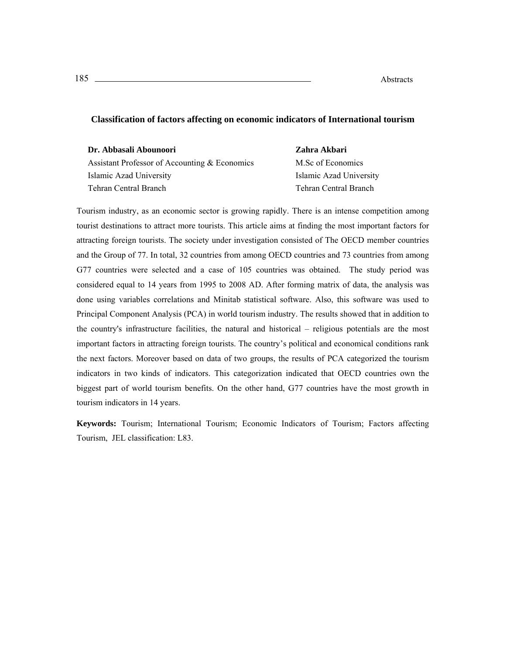#### t: 185 Abs **Abstracts**

#### **Classification of factors affecting on economic indicators of International tourism**

| Dr. Abbasali Abounoori                        | Zahra Akbari            |
|-----------------------------------------------|-------------------------|
| Assistant Professor of Accounting & Economics | M.Sc of Economics       |
| Islamic Azad University                       | Islamic Azad University |
| Tehran Central Branch                         | Tehran Central Branch   |

Tourism industry, as an economic sector is growing rapidly. There is an intense competition among tourist destinations to attract more tourists. This article aims at finding the most important factors for attracting foreign tourists. The society under investigation consisted of The OECD member countries and the Group of 77. In total, 32 countries from among OECD countries and 73 countries from among G77 countries were selected and a case of 105 countries was obtained. The study period was considered equal to 14 years from 1995 to 2008 AD. After forming matrix of data, the analysis was done using variables correlations and Minitab statistical software. Also, this software was used to Principal Component Analysis (PCA) in world tourism industry. The results showed that in addition to the country's infrastructure facilities, the natural and historical – religious potentials are the most important factors in attracting foreign tourists. The country's political and economical conditions rank the next factors. Moreover based on data of two groups, the results of PCA categorized the tourism indicators in two kinds of indicators. This categorization indicated that OECD countries own the biggest part of world tourism benefits. On the other hand, G77 countries have the most growth in tourism indicators in 14 years.

**Keywords:** Tourism; International Tourism; Economic Indicators of Tourism; Factors affecting Tourism, JEL classification: L83.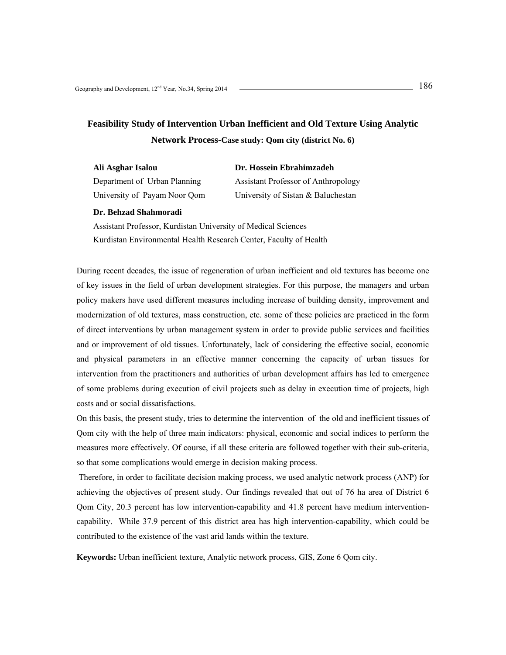# **Feasibility Study of Intervention Urban Inefficient and Old Texture Using Analytic**

#### **Network Process-Case study: Qom city (district No. 6)**

| Ali Asghar Isalou            | Dr. Hossein Ebrahimzadeh             |
|------------------------------|--------------------------------------|
| Department of Urban Planning | <b>Assistant Professor of Anthro</b> |
| University of Payam Noor Qom | University of Sistan & Balucl        |

nt Professor of Anthropology sity of Sistan & Baluchestan

#### **Dr. Behzad Shahmoradi**

Assistant Professor, Kurdistan University of Medical Sciences Kurdistan Environmental Health Research Center, Faculty of Health

During recent decades, the issue of regeneration of urban inefficient and old textures has become one of key issues in the field of urban development strategies. For this purpose, the managers and urban policy makers have used different measures including increase of building density, improvement and modernization of old textures, mass construction, etc. some of these policies are practiced in the form of direct interventions by urban management system in order to provide public services and facilities and or improvement of old tissues. Unfortunately, lack of considering the effective social, economic and physical parameters in an effective manner concerning the capacity of urban tissues for intervention from the practitioners and authorities of urban development affairs has led to emergence of some problems during execution of civil projects such as delay in execution time of projects, high costs and or social dissatisfactions.

On this basis, the present study, tries to determine the intervention of the old and inefficient tissues of Qom city with the help of three main indicators: physical, economic and social indices to perform the measures more effectively. Of course, if all these criteria are followed together with their sub-criteria, so that some complications would emerge in decision making process.

 Therefore, in order to facilitate decision making process, we used analytic network process (ANP) for achieving the objectives of present study. Our findings revealed that out of 76 ha area of District 6 Qom City, 20.3 percent has low intervention-capability and 41.8 percent have medium interventioncapability. While 37.9 percent of this district area has high intervention-capability, which could be contributed to the existence of the vast arid lands within the texture.

**Keywords:** Urban inefficient texture, Analytic network process, GIS, Zone 6 Qom city.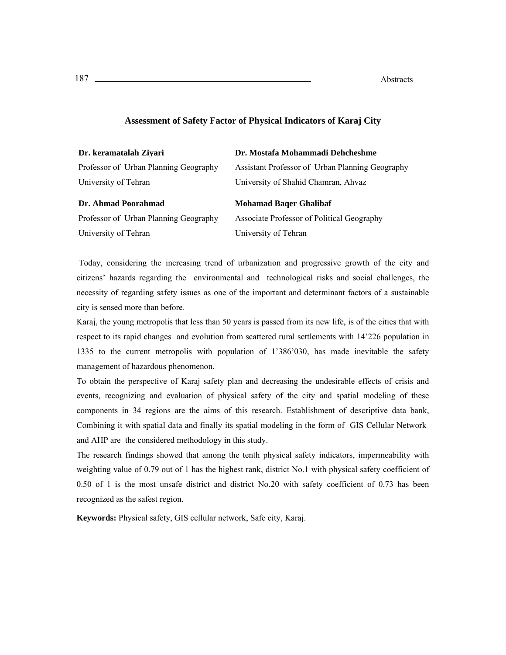| Dr. keramatalah Ziyari                | Dr. Mostafa Mohammadi Dehcheshme                |
|---------------------------------------|-------------------------------------------------|
| Professor of Urban Planning Geography | Assistant Professor of Urban Planning Geography |
| University of Tehran                  | University of Shahid Chamran, Ahvaz             |
|                                       |                                                 |
| Dr. Ahmad Poorahmad                   | <b>Mohamad Bager Ghalibaf</b>                   |
| Professor of Urban Planning Geography | Associate Professor of Political Geography      |

#### **Assessment of Safety Factor of Physical Indicators of Karaj City**

 Today, considering the increasing trend of urbanization and progressive growth of the city and citizens' hazards regarding the environmental and technological risks and social challenges, the necessity of regarding safety issues as one of the important and determinant factors of a sustainable city is sensed more than before.

Karaj, the young metropolis that less than 50 years is passed from its new life, is of the cities that with respect to its rapid changes and evolution from scattered rural settlements with 14'226 population in 1335 to the current metropolis with population of 1'386'030, has made inevitable the safety management of hazardous phenomenon.

To obtain the perspective of Karaj safety plan and decreasing the undesirable effects of crisis and events, recognizing and evaluation of physical safety of the city and spatial modeling of these components in 34 regions are the aims of this research. Establishment of descriptive data bank, Combining it with spatial data and finally its spatial modeling in the form of GIS Cellular Network and AHP are the considered methodology in this study.

The research findings showed that among the tenth physical safety indicators, impermeability with weighting value of 0.79 out of 1 has the highest rank, district No.1 with physical safety coefficient of 0.50 of 1 is the most unsafe district and district No.20 with safety coefficient of 0.73 has been recognized as the safest region.

**Keywords:** Physical safety, GIS cellular network, Safe city, Karaj.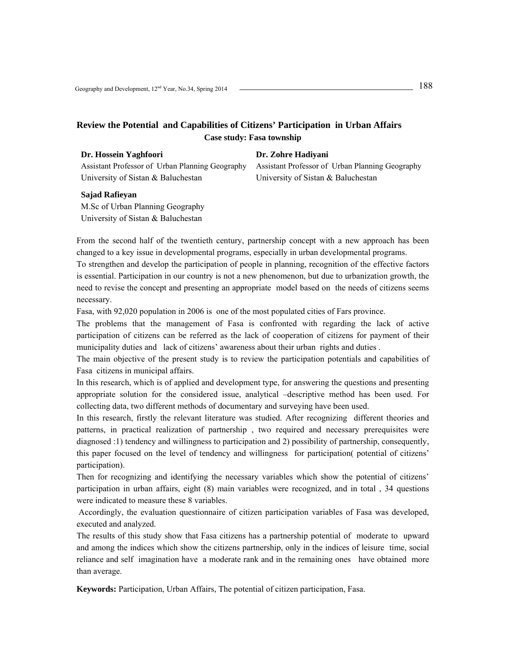#### **Review the Potential and Capabilities of Citizens' Participation in Urban Affairs Case study: Fasa township**

| DI, HOSSUM Tughtoon                             |
|-------------------------------------------------|
| Assistant Professor of Urban Planning Geography |
| University of Sistan & Baluchestan              |

#### **Dr. Zohre Hadiyani**

Assistant Professor of Urban Planning Geography University of Sistan & Baluchestan

#### **Sajad Rafieyan**

**Dr. Hossein Yaghfoori**

M.Sc of Urban Planning Geography University of Sistan & Baluchestan

From the second half of the twentieth century, partnership concept with a new approach has been changed to a key issue in developmental programs, especially in urban developmental programs.

To strengthen and develop the participation of people in planning, recognition of the effective factors is essential. Participation in our country is not a new phenomenon, but due to urbanization growth, the need to revise the concept and presenting an appropriate model based on the needs of citizens seems necessary.

Fasa, with 92,020 population in 2006 is one of the most populated cities of Fars province.

The problems that the management of Fasa is confronted with regarding the lack of active participation of citizens can be referred as the lack of cooperation of citizens for payment of their municipality duties and lack of citizens' awareness about their urban rights and duties .

The main objective of the present study is to review the participation potentials and capabilities of Fasa citizens in municipal affairs.

In this research, which is of applied and development type, for answering the questions and presenting appropriate solution for the considered issue, analytical –descriptive method has been used. For collecting data, two different methods of documentary and surveying have been used.

In this research, firstly the relevant literature was studied. After recognizing different theories and patterns, in practical realization of partnership , two required and necessary prerequisites were diagnosed :1) tendency and willingness to participation and 2) possibility of partnership, consequently, this paper focused on the level of tendency and willingness for participation( potential of citizens' participation).

Then for recognizing and identifying the necessary variables which show the potential of citizens' participation in urban affairs, eight (8) main variables were recognized, and in total , 34 questions were indicated to measure these 8 variables.

 Accordingly, the evaluation questionnaire of citizen participation variables of Fasa was developed, executed and analyzed.

The results of this study show that Fasa citizens has a partnership potential of moderate to upward and among the indices which show the citizens partnership, only in the indices of leisure time, social reliance and self imagination have a moderate rank and in the remaining ones have obtained more than average.

**Keywords:** Participation, Urban Affairs, The potential of citizen participation, Fasa.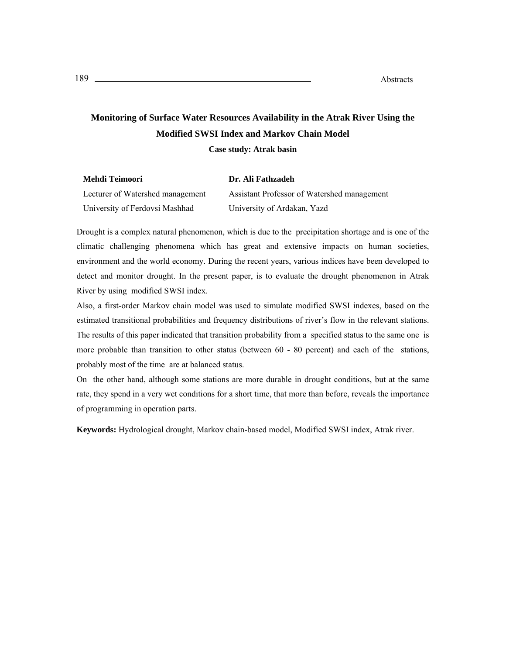# **Monitoring of Surface Water Resources Availability in the Atrak River Using the Modified SWSI Index and Markov Chain Model**

**Case study: Atrak basin** 

| Mehdi Teimoori                   | Dr. Ali Fathzadeh                           |
|----------------------------------|---------------------------------------------|
| Lecturer of Watershed management | Assistant Professor of Watershed management |
| University of Ferdovsi Mashhad   | University of Ardakan, Yazd                 |

Drought is a complex natural phenomenon, which is due to the precipitation shortage and is one of the climatic challenging phenomena which has great and extensive impacts on human societies, environment and the world economy. During the recent years, various indices have been developed to detect and monitor drought. In the present paper, is to evaluate the drought phenomenon in Atrak River by using modified SWSI index.

Also, a first-order Markov chain model was used to simulate modified SWSI indexes, based on the estimated transitional probabilities and frequency distributions of river's flow in the relevant stations. The results of this paper indicated that transition probability from a specified status to the same one is more probable than transition to other status (between 60 - 80 percent) and each of the stations, probably most of the time are at balanced status.

On the other hand, although some stations are more durable in drought conditions, but at the same rate, they spend in a very wet conditions for a short time, that more than before, reveals the importance of programming in operation parts.

**Keywords:** Hydrological drought, Markov chain-based model, Modified SWSI index, Atrak river.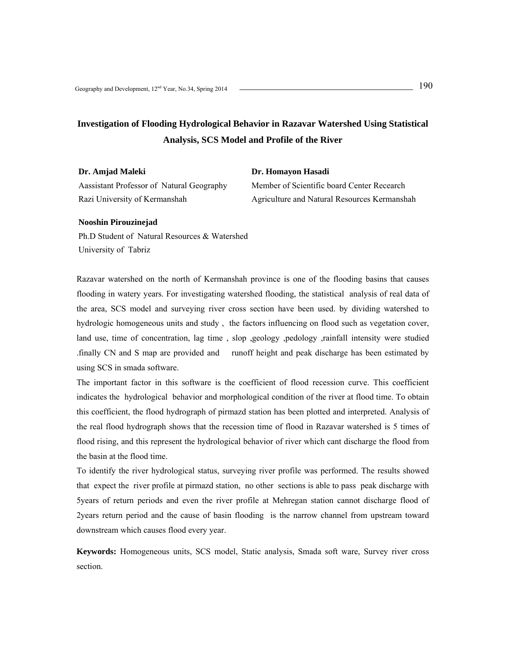### **Investigation of Flooding Hydrological Behavior in Razavar Watershed Using Statistical Analysis, SCS Model and Profile of the River**

**Dr. Homayon Hasadi** 

**Dr. Amjad Maleki**  Aassistant Professor of Natural Geography Razi University of Kermanshah

Member of Scientific board Center Recearch Agriculture and Natural Resources Kermanshah

#### **Nooshin Pirouzinejad**

Ph.D Student of Natural Resources & Watershed University of Tabriz

Razavar watershed on the north of Kermanshah province is one of the flooding basins that causes flooding in watery years. For investigating watershed flooding, the statistical analysis of real data of the area, SCS model and surveying river cross section have been used. by dividing watershed to hydrologic homogeneous units and study , the factors influencing on flood such as vegetation cover, land use, time of concentration, lag time , slop ,geology ,pedology ,rainfall intensity were studied .finally CN and S map are provided and runoff height and peak discharge has been estimated by using SCS in smada software.

The important factor in this software is the coefficient of flood recession curve. This coefficient indicates the hydrological behavior and morphological condition of the river at flood time. To obtain this coefficient, the flood hydrograph of pirmazd station has been plotted and interpreted. Analysis of the real flood hydrograph shows that the recession time of flood in Razavar watershed is 5 times of flood rising, and this represent the hydrological behavior of river which cant discharge the flood from the basin at the flood time.

To identify the river hydrological status, surveying river profile was performed. The results showed that expect the river profile at pirmazd station, no other sections is able to pass peak discharge with 5years of return periods and even the river profile at Mehregan station cannot discharge flood of 2years return period and the cause of basin flooding is the narrow channel from upstream toward downstream which causes flood every year.

**Keywords:** Homogeneous units, SCS model, Static analysis, Smada soft ware, Survey river cross section.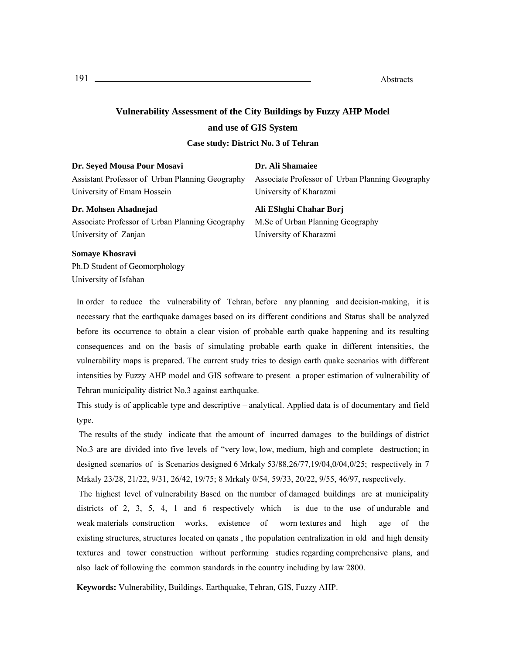## **Vulnerability Assessment of the City Buildings by Fuzzy AHP Model and use of GIS System Case study: District No. 3 of Tehran**

| Dr. Seyed Mousa Pour Mosavi                                                   | Dr. Ali Shamaiee                                                          |
|-------------------------------------------------------------------------------|---------------------------------------------------------------------------|
| Assistant Professor of Urban Planning Geography<br>University of Emam Hossein | Associate Professor of Urban Planning Geography<br>University of Kharazmi |
|                                                                               |                                                                           |
| Dr. Mohsen Ahadnejad                                                          | Ali EShghi Chahar Borj                                                    |
| Associate Professor of Urban Planning Geography                               | M.Sc of Urban Planning Geography                                          |

#### **Somaye Khosravi**

Ph.D Student of Geomorphology University of Isfahan

In order to reduce the vulnerability of Tehran, before any planning and decision-making, it is necessary that the earthquake damages based on its different conditions and Status shall be analyzed before its occurrence to obtain a clear vision of probable earth quake happening and its resulting consequences and on the basis of simulating probable earth quake in different intensities, the vulnerability maps is prepared. The current study tries to design earth quake scenarios with different intensities by Fuzzy AHP model and GIS software to present a proper estimation of vulnerability of Tehran municipality district No.3 against earthquake.

This study is of applicable type and descriptive – analytical. Applied data is of documentary and field type.

 The results of the study indicate that the amount of incurred damages to the buildings of district No.3 are are divided into five levels of "very low, low, medium, high and complete destruction; in designed scenarios of is Scenarios designed 6 Mrkaly 53/88,26/77,19/04,0/04,0/25; respectively in 7 Mrkaly 23/28, 21/22, 9/31, 26/42, 19/75; 8 Mrkaly 0/54, 59/33, 20/22, 9/55, 46/97, respectively.

 The highest level of vulnerability Based on the number of damaged buildings are at municipality districts of 2, 3, 5, 4, 1 and 6 respectively which is due to the use of undurable and weak materials construction works, existence of worn textures and high age of the existing structures, structures located on qanats , the population centralization in old and high density textures and tower construction without performing studies regarding comprehensive plans, and also lack of following the common standards in the country including by law 2800.

**Keywords:** Vulnerability, Buildings, Earthquake, Tehran, GIS, Fuzzy AHP.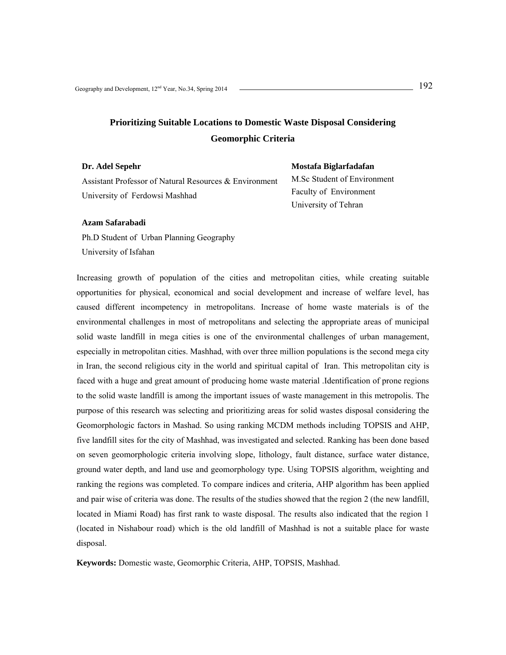## **Prioritizing Suitable Locations to Domestic Waste Disposal Considering Geomorphic Criteria**

| Dr. Adel Sepehr                                        |         |
|--------------------------------------------------------|---------|
| Assistant Professor of Natural Resources & Environment | M.Sc St |
| University of Ferdowsi Mashhad                         | Faculty |
|                                                        |         |

**Mostafa Biglarfadafan**  udent of Environment of Environment University of Tehran

#### **Azam Safarabadi**

Ph.D Student of Urban Planning Geography University of Isfahan

Increasing growth of population of the cities and metropolitan cities, while creating suitable opportunities for physical, economical and social development and increase of welfare level, has caused different incompetency in metropolitans. Increase of home waste materials is of the environmental challenges in most of metropolitans and selecting the appropriate areas of municipal solid waste landfill in mega cities is one of the environmental challenges of urban management, especially in metropolitan cities. Mashhad, with over three million populations is the second mega city in Iran, the second religious city in the world and spiritual capital of Iran. This metropolitan city is faced with a huge and great amount of producing home waste material .Identification of prone regions to the solid waste landfill is among the important issues of waste management in this metropolis. The purpose of this research was selecting and prioritizing areas for solid wastes disposal considering the Geomorphologic factors in Mashad. So using ranking MCDM methods including TOPSIS and AHP, five landfill sites for the city of Mashhad, was investigated and selected. Ranking has been done based on seven geomorphologic criteria involving slope, lithology, fault distance, surface water distance, ground water depth, and land use and geomorphology type. Using TOPSIS algorithm, weighting and ranking the regions was completed. To compare indices and criteria, AHP algorithm has been applied and pair wise of criteria was done. The results of the studies showed that the region 2 (the new landfill, located in Miami Road) has first rank to waste disposal. The results also indicated that the region 1 (located in Nishabour road) which is the old landfill of Mashhad is not a suitable place for waste disposal.

**Keywords:** Domestic waste, Geomorphic Criteria, AHP, TOPSIS, Mashhad.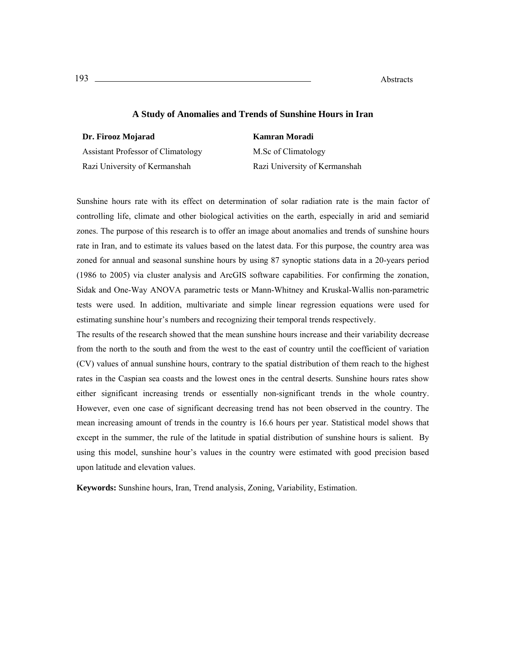#### **A Study of Anomalies and Trends of Sunshine Hours in Iran**

**Dr. Firooz Mojarad** 

Assistant Professor of Climatology Razi University of Kermanshah

M.Sc of Climatology Razi University of Kermanshah

**Kamran Moradi**

Sunshine hours rate with its effect on determination of solar radiation rate is the main factor of controlling life, climate and other biological activities on the earth, especially in arid and semiarid zones. The purpose of this research is to offer an image about anomalies and trends of sunshine hours rate in Iran, and to estimate its values based on the latest data. For this purpose, the country area was zoned for annual and seasonal sunshine hours by using 87 synoptic stations data in a 20-years period (1986 to 2005) via cluster analysis and ArcGIS software capabilities. For confirming the zonation, Sidak and One-Way ANOVA parametric tests or Mann-Whitney and Kruskal-Wallis non-parametric tests were used. In addition, multivariate and simple linear regression equations were used for estimating sunshine hour's numbers and recognizing their temporal trends respectively.

The results of the research showed that the mean sunshine hours increase and their variability decrease from the north to the south and from the west to the east of country until the coefficient of variation (CV) values of annual sunshine hours, contrary to the spatial distribution of them reach to the highest rates in the Caspian sea coasts and the lowest ones in the central deserts. Sunshine hours rates show either significant increasing trends or essentially non-significant trends in the whole country. However, even one case of significant decreasing trend has not been observed in the country. The mean increasing amount of trends in the country is 16.6 hours per year. Statistical model shows that except in the summer, the rule of the latitude in spatial distribution of sunshine hours is salient. By using this model, sunshine hour's values in the country were estimated with good precision based upon latitude and elevation values.

**Keywords:** Sunshine hours, Iran, Trend analysis, Zoning, Variability, Estimation.